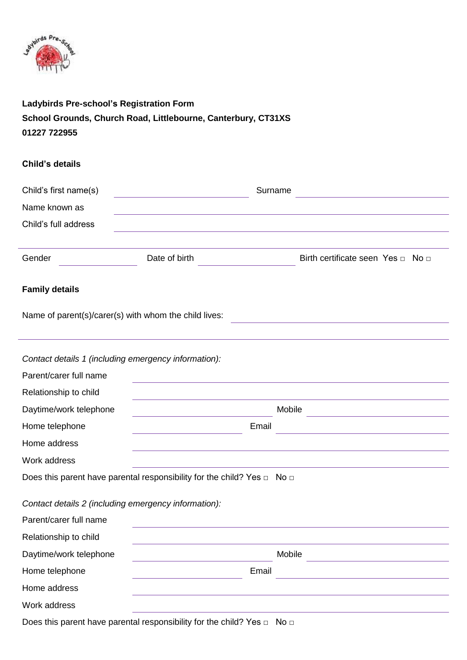

# **Ladybirds Pre-school's Registration Form School Grounds, Church Road, Littlebourne, Canterbury, CT31XS 01227 722955**

## **Child's details**

| Child's first name(s)                                                                                                | Surname                                                                           |                                   |
|----------------------------------------------------------------------------------------------------------------------|-----------------------------------------------------------------------------------|-----------------------------------|
| Name known as                                                                                                        |                                                                                   |                                   |
| Child's full address                                                                                                 |                                                                                   |                                   |
|                                                                                                                      |                                                                                   |                                   |
| Gender                                                                                                               | Date of birth                                                                     | Birth certificate seen Yes n No n |
| <b>Family details</b>                                                                                                |                                                                                   |                                   |
|                                                                                                                      | Name of parent(s)/carer(s) with whom the child lives:                             |                                   |
|                                                                                                                      |                                                                                   |                                   |
|                                                                                                                      | Contact details 1 (including emergency information):                              |                                   |
| Parent/carer full name                                                                                               |                                                                                   |                                   |
| Relationship to child                                                                                                |                                                                                   |                                   |
| Daytime/work telephone                                                                                               |                                                                                   | Mobile                            |
| Home telephone                                                                                                       | Email                                                                             |                                   |
| Home address                                                                                                         |                                                                                   |                                   |
| Work address                                                                                                         |                                                                                   |                                   |
|                                                                                                                      | Does this parent have parental responsibility for the child? Yes $\Box$ No $\Box$ |                                   |
|                                                                                                                      | Contact details 2 (including emergency information):                              |                                   |
| $\mathbf{D}$ and a $\mathbf{D}$ and $\mathbf{D}$ and $\mathbf{D}$ and $\mathbf{D}$ and $\mathbf{D}$ and $\mathbf{D}$ |                                                                                   |                                   |

| Parent/carer full name |        |
|------------------------|--------|
| Relationship to child  |        |
| Daytime/work telephone | Mobile |
| Home telephone         | Email  |
| Home address           |        |
| Work address           |        |
|                        |        |

Does this parent have parental responsibility for the child? Yes □ No □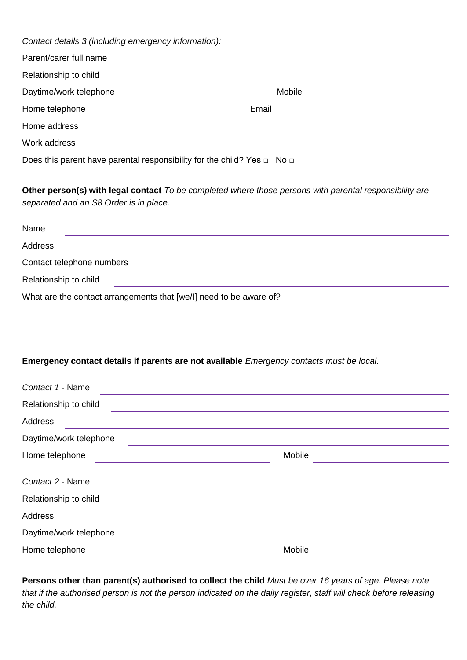*Contact details 3 (including emergency information):*

| Parent/carer full name |       |        |
|------------------------|-------|--------|
| Relationship to child  |       |        |
| Daytime/work telephone |       | Mobile |
| Home telephone         | Email |        |
| Home address           |       |        |
| Work address           |       |        |

Does this parent have parental responsibility for the child? Yes  $\Box$  No  $\Box$ 

**Other person(s) with legal contact** *To be completed where those persons with parental responsibility are separated and an S8 Order is in place.*

| Name                  |                                                                    |
|-----------------------|--------------------------------------------------------------------|
| Address               |                                                                    |
|                       | Contact telephone numbers                                          |
| Relationship to child |                                                                    |
|                       | What are the contact arrangements that [we/l] need to be aware of? |
|                       |                                                                    |

## **Emergency contact details if parents are not available** *Emergency contacts must be local.*

| Contact 1 - Name       |        |  |
|------------------------|--------|--|
| Relationship to child  |        |  |
| Address                |        |  |
| Daytime/work telephone |        |  |
| Home telephone         | Mobile |  |
| Contact 2 - Name       |        |  |
| Relationship to child  |        |  |
| Address                |        |  |
| Daytime/work telephone |        |  |
| Home telephone         | Mobile |  |

**Persons other than parent(s) authorised to collect the child** *Must be over 16 years of age. Please note that if the authorised person is not the person indicated on the daily register, staff will check before releasing the child.*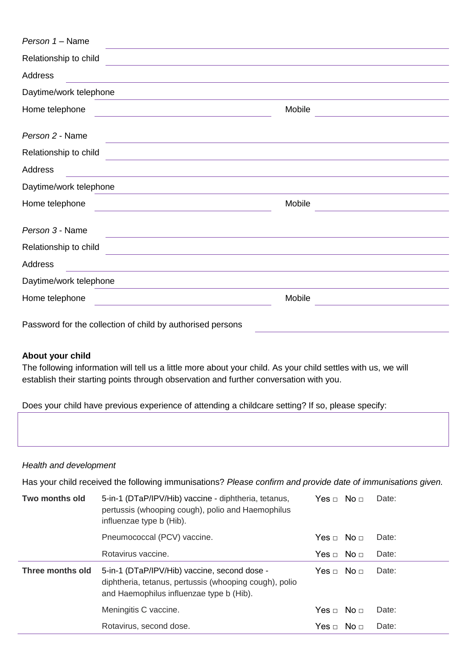| Person 1 - Name                                                                                                                            |        |
|--------------------------------------------------------------------------------------------------------------------------------------------|--------|
| Relationship to child<br><u> 1989 - Johann Stoff, amerikansk politiker (* 1908)</u>                                                        |        |
| Address                                                                                                                                    |        |
| Daytime/work telephone                                                                                                                     |        |
| Home telephone<br><u> 1989 - Johann Stoff, amerikansk politiker (d. 1989)</u>                                                              | Mobile |
| Person 2 - Name<br><u> 1980 - Johann Stoff, deutscher Stoff, der Stoff, der Stoff, der Stoff, der Stoff, der Stoff, der Stoff, der S</u>   |        |
| Relationship to child                                                                                                                      |        |
| Address                                                                                                                                    |        |
| Daytime/work telephone                                                                                                                     |        |
| Home telephone<br><u> 1989 - Johann Stoff, amerikansk politiker (d. 1989)</u>                                                              | Mobile |
| Person 3 - Name<br><u> 1989 - Johann Stoff, amerikansk politiker (* 1908)</u>                                                              |        |
| Relationship to child                                                                                                                      |        |
| Address                                                                                                                                    |        |
| Daytime/work telephone<br>and the control of the control of the control of the control of the control of the control of the control of the |        |
| Home telephone<br><u> 1989 - Johann Barn, mars eta bainar eta baina eta baina eta baina eta baina eta baina eta baina eta baina e</u> ta   | Mobile |
| Password for the collection of child by authorised persons                                                                                 |        |

#### **About your child**

The following information will tell us a little more about your child. As your child settles with us, we will establish their starting points through observation and further conversation with you.

Does your child have previous experience of attending a childcare setting? If so, please specify:

#### *Health and development*

Has your child received the following immunisations? *Please confirm and provide date of immunisations given.*

| Two months old   | 5-in-1 (DTaP/IPV/Hib) vaccine - diphtheria, tetanus,<br>pertussis (whooping cough), polio and Haemophilus<br>influenzae type b (Hib).              | Yes  □ No  □ | Date: |
|------------------|----------------------------------------------------------------------------------------------------------------------------------------------------|--------------|-------|
|                  | Pneumococcal (PCV) vaccine.                                                                                                                        |              | Date: |
|                  | Rotavirus vaccine.                                                                                                                                 |              | Date: |
| Three months old | 5-in-1 (DTaP/IPV/Hib) vaccine, second dose -<br>diphtheria, tetanus, pertussis (whooping cough), polio<br>and Haemophilus influenzae type b (Hib). |              | Date: |
|                  | Meningitis C vaccine.                                                                                                                              |              | Date: |
|                  | Rotavirus, second dose.                                                                                                                            |              | Date: |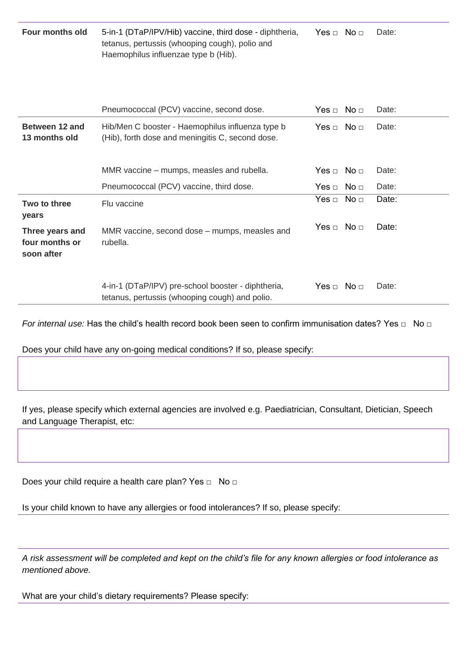| Four months old | 5-in-1 (DTaP/IPV/Hib) vaccine, third dose - diphtheria, | Yes ⊓ No ⊓ | Date: |
|-----------------|---------------------------------------------------------|------------|-------|
|                 | tetanus, pertussis (whooping cough), polio and          |            |       |
|                 | Haemophilus influenzae type b (Hib).                    |            |       |

|                                                 | Pneumococcal (PCV) vaccine, second dose.                                                             | Yes □ No □ | Date: |
|-------------------------------------------------|------------------------------------------------------------------------------------------------------|------------|-------|
| Between 12 and<br>13 months old                 | Hib/Men C booster - Haemophilus influenza type b<br>(Hib), forth dose and meningitis C, second dose. | Yes □ No □ | Date: |
|                                                 | MMR vaccine – mumps, measles and rubella.                                                            | Yes ⊓ No ⊓ | Date: |
|                                                 | Pneumococcal (PCV) vaccine, third dose.                                                              | Yes □ No □ | Date: |
| Two to three<br>years                           | Flu vaccine                                                                                          | Yes □ No □ | Date: |
| Three years and<br>four months or<br>soon after | MMR vaccine, second dose – mumps, measles and<br>rubella.                                            | Yes □ No □ | Date: |
|                                                 | 4-in-1 (DTaP/IPV) pre-school booster - diphtheria,<br>tetanus, pertussis (whooping cough) and polio. | Yes ⊓ No ⊓ | Date: |

*For internal use:* Has the child's health record book been seen to confirm immunisation dates? Yes □ No □

Does your child have any on-going medical conditions? If so, please specify:

If yes, please specify which external agencies are involved e.g. Paediatrician, Consultant, Dietician, Speech and Language Therapist, etc:

Does your child require a health care plan? Yes □ No □

Is your child known to have any allergies or food intolerances? If so, please specify:

*A risk assessment will be completed and kept on the child's file for any known allergies or food intolerance as mentioned above.*

What are your child's dietary requirements? Please specify: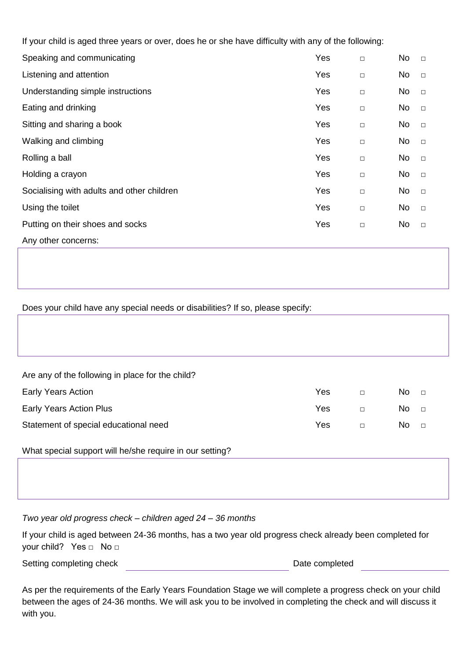If your child is aged three years or over, does he or she have difficulty with any of the following:

| Speaking and communicating                 | Yes | $\Box$ | No | $\Box$ |
|--------------------------------------------|-----|--------|----|--------|
| Listening and attention                    | Yes | $\Box$ | No | $\Box$ |
| Understanding simple instructions          | Yes | $\Box$ | No | $\Box$ |
| Eating and drinking                        | Yes | $\Box$ | No | $\Box$ |
| Sitting and sharing a book                 | Yes | $\Box$ | No | $\Box$ |
| Walking and climbing                       | Yes | $\Box$ | No | $\Box$ |
| Rolling a ball                             | Yes | $\Box$ | No | $\Box$ |
| Holding a crayon                           | Yes | $\Box$ | No | $\Box$ |
| Socialising with adults and other children | Yes | $\Box$ | No | $\Box$ |
| Using the toilet                           | Yes | $\Box$ | No | $\Box$ |
| Putting on their shoes and socks           | Yes | $\Box$ | No | $\Box$ |
| Any other concerns:                        |     |        |    |        |

## Does your child have any special needs or disabilities? If so, please specify:

| Are any of the following in place for the child? |     |        |      |        |
|--------------------------------------------------|-----|--------|------|--------|
| <b>Early Years Action</b>                        | Yes | $\Box$ | No l | $\Box$ |
| Early Years Action Plus                          | Yes | $\Box$ | No.  | $\Box$ |
| Statement of special educational need            | Yes | $\Box$ | No.  | $\Box$ |
|                                                  |     |        |      |        |

What special support will he/she require in our setting?

*Two year old progress check – children aged 24 – 36 months*

If your child is aged between 24-36 months, has a two year old progress check already been completed for your child? Yes □ No □

Setting completing check **Date completed** 

As per the requirements of the Early Years Foundation Stage we will complete a progress check on your child between the ages of 24-36 months. We will ask you to be involved in completing the check and will discuss it with you.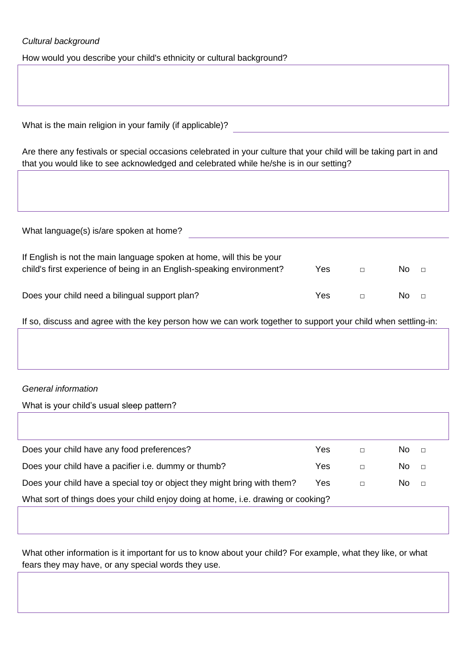## *Cultural background*

How would you describe your child's ethnicity or cultural background?

| What is the main religion in your family (if applicable)? |
|-----------------------------------------------------------|

Are there any festivals or special occasions celebrated in your culture that your child will be taking part in and that you would like to see acknowledged and celebrated while he/she is in our setting?

| What language(s) is/are spoken at home?                                                                                                        |     |               |
|------------------------------------------------------------------------------------------------------------------------------------------------|-----|---------------|
| If English is not the main language spoken at home, will this be your<br>child's first experience of being in an English-speaking environment? | Yes | No.<br>$\Box$ |
| Does your child need a bilingual support plan?                                                                                                 | Yes | No.<br>$\Box$ |

If so, discuss and agree with the key person how we can work together to support your child when settling-in:

## *General information*

What is your child's usual sleep pattern?

| Does your child have any food preferences?                                        | Yes |        | No.<br>$\Box$ |
|-----------------------------------------------------------------------------------|-----|--------|---------------|
| Does your child have a pacifier i.e. dummy or thumb?                              | Yes | П      | No.<br>$\Box$ |
| Does your child have a special toy or object they might bring with them?          | Yes | $\Box$ | No.<br>$\Box$ |
| What sort of things does your child enjoy doing at home, i.e. drawing or cooking? |     |        |               |
|                                                                                   |     |        |               |

What other information is it important for us to know about your child? For example, what they like, or what fears they may have, or any special words they use.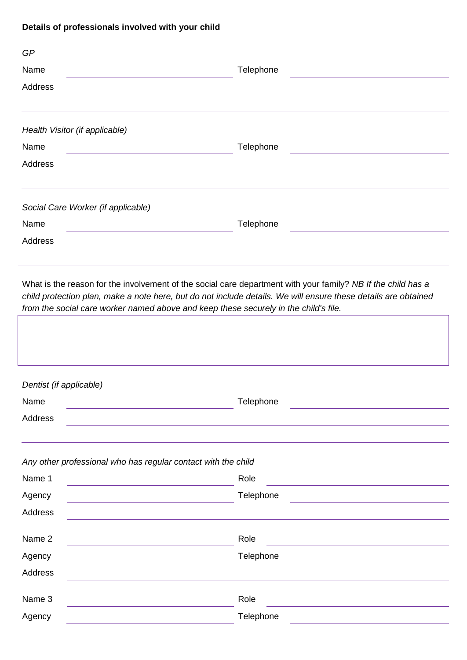## **Details of professionals involved with your child**

| GP                                 |                                                                                                              |
|------------------------------------|--------------------------------------------------------------------------------------------------------------|
| Name                               | Telephone                                                                                                    |
| Address                            |                                                                                                              |
| Health Visitor (if applicable)     |                                                                                                              |
| Name                               | Telephone                                                                                                    |
| Address                            |                                                                                                              |
| Social Care Worker (if applicable) |                                                                                                              |
| Name                               | Telephone                                                                                                    |
| Address                            |                                                                                                              |
|                                    | What is the reason for the involvement of the social care department with your family? NB If the child has a |

*child protection plan, make a note here, but do not include details. We will ensure these details are obtained from the social care worker named above and keep these securely in the child's file.*

| Dentist (if applicable)                                       |           |
|---------------------------------------------------------------|-----------|
| Name                                                          | Telephone |
| Address                                                       |           |
|                                                               |           |
|                                                               |           |
| Any other professional who has regular contact with the child |           |
| Name 1                                                        | Role      |
|                                                               |           |
| Agency                                                        | Telephone |
| Address                                                       |           |
| Name 2                                                        | Role      |
|                                                               |           |
| Agency                                                        | Telephone |
| <b>Address</b>                                                |           |
| Name 3                                                        | Role      |
| Agency                                                        | Telephone |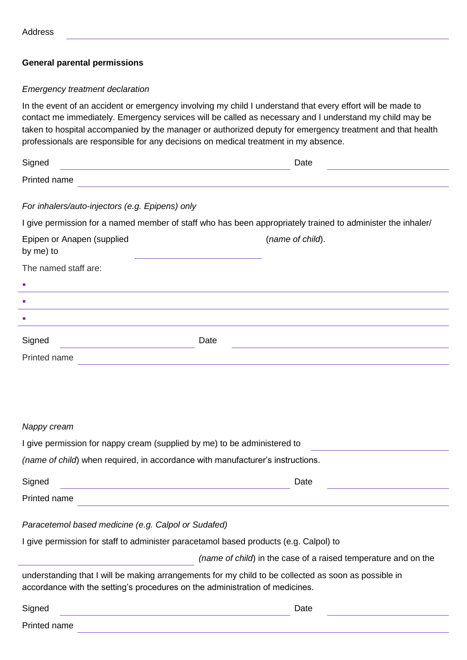## **General parental permissions**

## *Emergency treatment declaration*

In the event of an accident or emergency involving my child I understand that every effort will be made to contact me immediately. Emergency services will be called as necessary and I understand my child may be taken to hospital accompanied by the manager or authorized deputy for emergency treatment and that health professionals are responsible for any decisions on medical treatment in my absence.

| Signed                                          | Date                                                                                                        |
|-------------------------------------------------|-------------------------------------------------------------------------------------------------------------|
| Printed name                                    |                                                                                                             |
| For inhalers/auto-injectors (e.g. Epipens) only |                                                                                                             |
|                                                 | I give permission for a named member of staff who has been appropriately trained to administer the inhaler/ |
| Epipen or Anapen (supplied<br>by me) to         | (name of child).                                                                                            |
| The named staff are:                            |                                                                                                             |
| T.                                              |                                                                                                             |
| ×.                                              |                                                                                                             |
| T.                                              |                                                                                                             |
| Signed                                          | Date                                                                                                        |
| Printed name                                    |                                                                                                             |

#### *Nappy cream*

| I give permission for nappy cream (supplied by me) to be administered to       |  |
|--------------------------------------------------------------------------------|--|
| (name of child) when required, in accordance with manufacturer's instructions. |  |

| Signed       | <b>Date</b> |  |  |  |  |
|--------------|-------------|--|--|--|--|
| Printed name |             |  |  |  |  |

## *Paracetemol based medicine (e.g. Calpol or Sudafed)*

I give permission for staff to administer paracetamol based products (e.g. Calpol) to

*(name of child*) in the case of a raised temperature and on the

understanding that I will be making arrangements for my child to be collected as soon as possible in accordance with the setting's procedures on the administration of medicines.

| Signed | Date |
|--------|------|
|        |      |

Printed name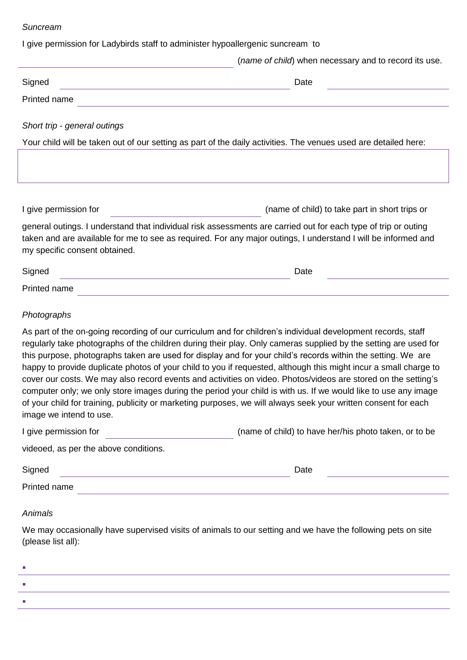#### *Suncream*

I give permission for Ladybirds staff to administer hypoallergenic suncream to

|                                                                                                                                                                                                                                                                  | (name of child) when necessary and to record its use. |
|------------------------------------------------------------------------------------------------------------------------------------------------------------------------------------------------------------------------------------------------------------------|-------------------------------------------------------|
| Signed                                                                                                                                                                                                                                                           | Date                                                  |
| Printed name                                                                                                                                                                                                                                                     |                                                       |
| Short trip - general outings                                                                                                                                                                                                                                     |                                                       |
| Your child will be taken out of our setting as part of the daily activities. The venues used are detailed here:                                                                                                                                                  |                                                       |
|                                                                                                                                                                                                                                                                  |                                                       |
| I give permission for                                                                                                                                                                                                                                            | (name of child) to take part in short trips or        |
| general outings. I understand that individual risk assessments are carried out for each type of trip or outing<br>taken and are available for me to see as required. For any major outings, I understand I will be informed and<br>my specific consent obtained. |                                                       |
| Signed                                                                                                                                                                                                                                                           | Date                                                  |
| Printed name                                                                                                                                                                                                                                                     |                                                       |
| Photographs                                                                                                                                                                                                                                                      |                                                       |

As part of the on-going recording of our curriculum and for children's individual development records, staff regularly take photographs of the children during their play. Only cameras supplied by the setting are used for this purpose, photographs taken are used for display and for your child's records within the setting. We are happy to provide duplicate photos of your child to you if requested, although this might incur a small charge to cover our costs. We may also record events and activities on video. Photos/videos are stored on the setting's computer only; we only store images during the period your child is with us. If we would like to use any image of your child for training, publicity or marketing purposes, we will always seek your written consent for each image we intend to use.

| I give permission for                 | (name of child) to have her/his photo taken, or to be |
|---------------------------------------|-------------------------------------------------------|
| videoed, as per the above conditions. |                                                       |

| Signed       | atc<br>ιαισ |  |
|--------------|-------------|--|
| Printed name |             |  |

## *Animals*

We may occasionally have supervised visits of animals to our setting and we have the following pets on site (please list all):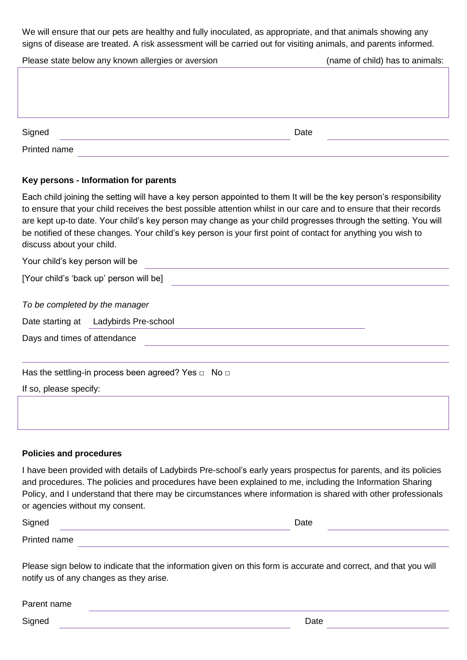We will ensure that our pets are healthy and fully inoculated, as appropriate, and that animals showing any signs of disease are treated. A risk assessment will be carried out for visiting animals, and parents informed.

| Please state below any known allergies or aversion | (name of child) has to animals: |  |
|----------------------------------------------------|---------------------------------|--|
|                                                    |                                 |  |
|                                                    |                                 |  |
|                                                    |                                 |  |
|                                                    |                                 |  |
| Signed                                             | Date                            |  |
|                                                    |                                 |  |
| Printed name                                       |                                 |  |

## **Key persons - Information for parents**

Each child joining the setting will have a key person appointed to them It will be the key person's responsibility to ensure that your child receives the best possible attention whilst in our care and to ensure that their records are kept up-to date. Your child's key person may change as your child progresses through the setting. You will be notified of these changes. Your child's key person is your first point of contact for anything you wish to discuss about your child.

Your child's key person will be

[Your child's 'back up' person will be]

*To be completed by the manager*

Date starting at Ladybirds Pre-school

Days and times of attendance

Has the settling-in process been agreed? Yes  $\Box$  No  $\Box$ 

If so, please specify:

## **Policies and procedures**

I have been provided with details of Ladybirds Pre-school's early years prospectus for parents, and its policies and procedures. The policies and procedures have been explained to me, including the Information Sharing Policy, and I understand that there may be circumstances where information is shared with other professionals or agencies without my consent.

| Signed       | Date |  |
|--------------|------|--|
| Printed name |      |  |

Please sign below to indicate that the information given on this form is accurate and correct, and that you will notify us of any changes as they arise.

| Parent name |        |  |
|-------------|--------|--|
| Signed      | ا Jate |  |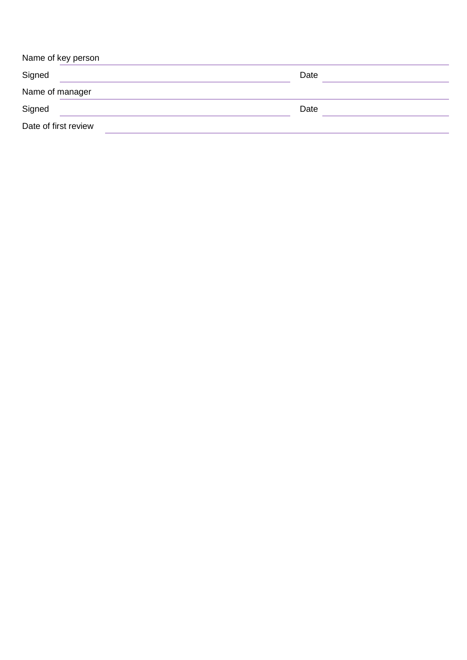| Name of key person   |      |  |
|----------------------|------|--|
| Signed               | Date |  |
| Name of manager      |      |  |
| Signed               | Date |  |
| Date of first review |      |  |